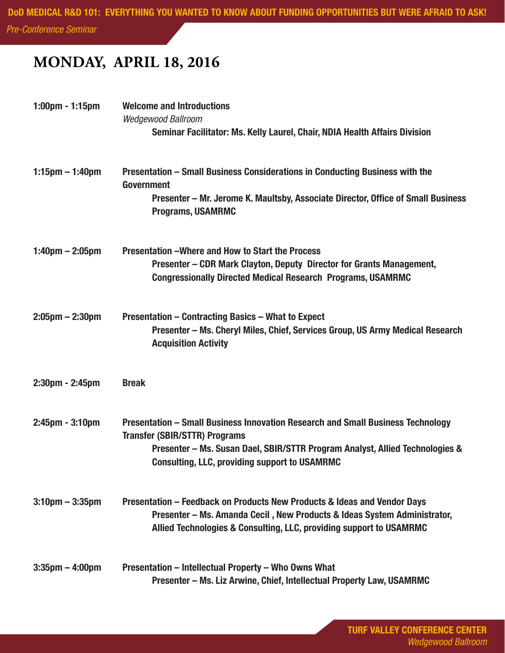*Pre-Conference Seminar*

## **MONDAY, APRIL 18, 2016**

| $1:00$ pm - 1:15pm                | <b>Welcome and Introductions</b><br><b>Wedgewood Ballroom</b><br>Seminar Facilitator: Ms. Kelly Laurel, Chair, NDIA Health Affairs Division                                                                                                                     |
|-----------------------------------|-----------------------------------------------------------------------------------------------------------------------------------------------------------------------------------------------------------------------------------------------------------------|
| $1:15$ pm $-1:40$ pm              | Presentation - Small Business Considerations in Conducting Business with the<br><b>Government</b><br>Presenter – Mr. Jerome K. Maultsby, Associate Director, Office of Small Business<br><b>Programs, USAMRMC</b>                                               |
| $1:40 \text{pm} - 2:05 \text{pm}$ | Presentation - Where and How to Start the Process<br>Presenter – CDR Mark Clayton, Deputy Director for Grants Management,<br><b>Congressionally Directed Medical Research Programs, USAMRMC</b>                                                                 |
| $2:05$ pm $- 2:30$ pm             | <b>Presentation – Contracting Basics – What to Expect</b><br>Presenter - Ms. Cheryl Miles, Chief, Services Group, US Army Medical Research<br><b>Acquisition Activity</b>                                                                                       |
| $2:30$ pm - $2:45$ pm             | <b>Break</b>                                                                                                                                                                                                                                                    |
| $2:45$ pm - $3:10$ pm             | Presentation - Small Business Innovation Research and Small Business Technology<br><b>Transfer (SBIR/STTR) Programs</b><br>Presenter – Ms. Susan Dael, SBIR/STTR Program Analyst, Allied Technologies &<br><b>Consulting, LLC, providing support to USAMRMC</b> |
| $3:10$ pm $-3:35$ pm              | Presentation – Feedback on Products New Products & Ideas and Vendor Days<br>Presenter – Ms. Amanda Cecil, New Products & Ideas System Administrator,<br>Allied Technologies & Consulting, LLC, providing support to USAMRMC                                     |
| $3:35 \text{pm} - 4:00 \text{pm}$ | Presentation - Intellectual Property - Who Owns What<br>Presenter - Ms. Liz Arwine, Chief, Intellectual Property Law, USAMRMC                                                                                                                                   |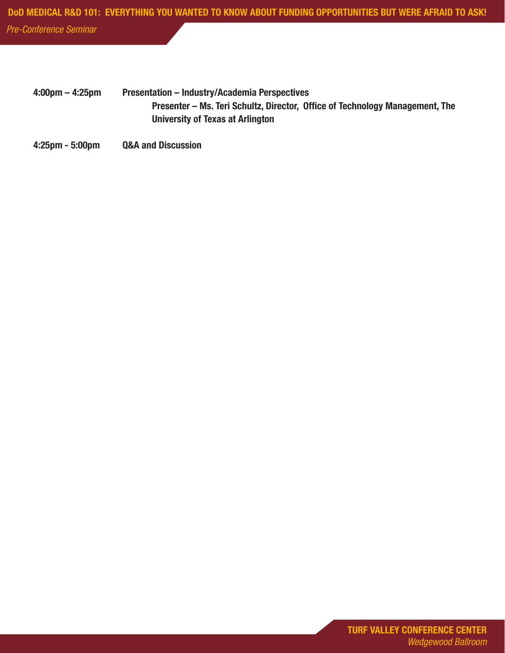*Pre-Conference Seminar*

- 4:00pm 4:25pm Presentation Industry/Academia Perspectives Presenter – Ms. Teri Schultz, Director, Office of Technology Management, The University of Texas at Arlington
- 4:25pm 5:00pm Q&A and Discussion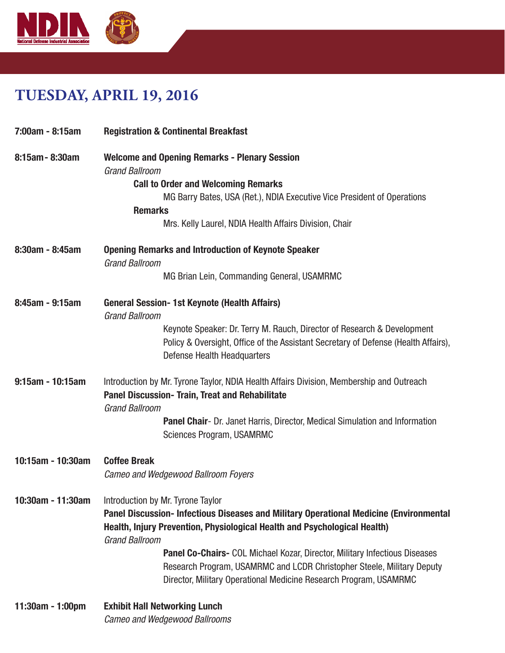

## **TUESDAY, APRIL 19, 2016**

| 7:00am - 8:15am     | <b>Registration &amp; Continental Breakfast</b>                                                                                                                                                                           |
|---------------------|---------------------------------------------------------------------------------------------------------------------------------------------------------------------------------------------------------------------------|
| 8:15am - 8:30am     | <b>Welcome and Opening Remarks - Plenary Session</b><br><b>Grand Ballroom</b><br><b>Call to Order and Welcoming Remarks</b>                                                                                               |
|                     | MG Barry Bates, USA (Ret.), NDIA Executive Vice President of Operations                                                                                                                                                   |
|                     | <b>Remarks</b>                                                                                                                                                                                                            |
|                     | Mrs. Kelly Laurel, NDIA Health Affairs Division, Chair                                                                                                                                                                    |
| 8:30am - 8:45am     | <b>Opening Remarks and Introduction of Keynote Speaker</b><br><b>Grand Ballroom</b>                                                                                                                                       |
|                     | MG Brian Lein, Commanding General, USAMRMC                                                                                                                                                                                |
| 8:45am - 9:15am     | <b>General Session-1st Keynote (Health Affairs)</b><br><b>Grand Ballroom</b>                                                                                                                                              |
|                     | Keynote Speaker: Dr. Terry M. Rauch, Director of Research & Development<br>Policy & Oversight, Office of the Assistant Secretary of Defense (Health Affairs),<br><b>Defense Health Headquarters</b>                       |
| $9:15$ am - 10:15am | Introduction by Mr. Tyrone Taylor, NDIA Health Affairs Division, Membership and Outreach<br><b>Panel Discussion- Train, Treat and Rehabilitate</b><br><b>Grand Ballroom</b>                                               |
|                     | <b>Panel Chair-</b> Dr. Janet Harris, Director, Medical Simulation and Information<br>Sciences Program, USAMRMC                                                                                                           |
| 10:15am - 10:30am   | <b>Coffee Break</b><br><b>Cameo and Wedgewood Ballroom Foyers</b>                                                                                                                                                         |
|                     |                                                                                                                                                                                                                           |
| 10:30am - 11:30am   | Introduction by Mr. Tyrone Taylor                                                                                                                                                                                         |
|                     | Panel Discussion- Infectious Diseases and Military Operational Medicine (Environmental                                                                                                                                    |
|                     | Health, Injury Prevention, Physiological Health and Psychological Health)<br><b>Grand Ballroom</b>                                                                                                                        |
|                     | Panel Co-Chairs- COL Michael Kozar, Director, Military Infectious Diseases<br>Research Program, USAMRMC and LCDR Christopher Steele, Military Deputy<br>Director, Military Operational Medicine Research Program, USAMRMC |
| 11:30am - 1:00pm    | <b>Exhibit Hall Networking Lunch</b><br><b>Cameo and Wedgewood Ballrooms</b>                                                                                                                                              |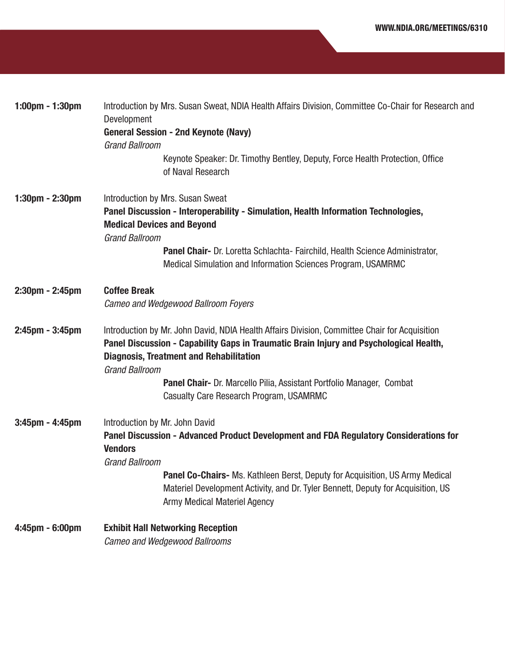| 1:00pm - 1:30pm       | Introduction by Mrs. Susan Sweat, NDIA Health Affairs Division, Committee Co-Chair for Research and<br>Development                                                                                                                                                 |
|-----------------------|--------------------------------------------------------------------------------------------------------------------------------------------------------------------------------------------------------------------------------------------------------------------|
|                       | <b>General Session - 2nd Keynote (Navy)</b>                                                                                                                                                                                                                        |
|                       | <b>Grand Ballroom</b>                                                                                                                                                                                                                                              |
|                       | Keynote Speaker: Dr. Timothy Bentley, Deputy, Force Health Protection, Office<br>of Naval Research                                                                                                                                                                 |
| $1:30$ pm - 2:30pm    | Introduction by Mrs. Susan Sweat                                                                                                                                                                                                                                   |
|                       | Panel Discussion - Interoperability - Simulation, Health Information Technologies,                                                                                                                                                                                 |
|                       | <b>Medical Devices and Beyond</b>                                                                                                                                                                                                                                  |
|                       | <b>Grand Ballroom</b>                                                                                                                                                                                                                                              |
|                       | Panel Chair- Dr. Loretta Schlachta- Fairchild, Health Science Administrator,<br>Medical Simulation and Information Sciences Program, USAMRMC                                                                                                                       |
| $2:30$ pm - $2:45$ pm | <b>Coffee Break</b>                                                                                                                                                                                                                                                |
|                       | Cameo and Wedgewood Ballroom Foyers                                                                                                                                                                                                                                |
| 2:45pm - 3:45pm       | Introduction by Mr. John David, NDIA Health Affairs Division, Committee Chair for Acquisition<br>Panel Discussion - Capability Gaps in Traumatic Brain Injury and Psychological Health,<br><b>Diagnosis, Treatment and Rehabilitation</b><br><b>Grand Ballroom</b> |
|                       | Panel Chair- Dr. Marcello Pilia, Assistant Portfolio Manager, Combat                                                                                                                                                                                               |
|                       | Casualty Care Research Program, USAMRMC                                                                                                                                                                                                                            |
| $3:45$ pm - $4:45$ pm | Introduction by Mr. John David                                                                                                                                                                                                                                     |
|                       | Panel Discussion - Advanced Product Development and FDA Regulatory Considerations for<br><b>Vendors</b>                                                                                                                                                            |
|                       | <b>Grand Ballroom</b>                                                                                                                                                                                                                                              |
|                       | Panel Co-Chairs- Ms. Kathleen Berst, Deputy for Acquisition, US Army Medical<br>Materiel Development Activity, and Dr. Tyler Bennett, Deputy for Acquisition, US<br><b>Army Medical Materiel Agency</b>                                                            |
|                       |                                                                                                                                                                                                                                                                    |
| 4:45pm - 6:00pm       | <b>Exhibit Hall Networking Reception</b>                                                                                                                                                                                                                           |
|                       | <b>Cameo and Wedgewood Ballrooms</b>                                                                                                                                                                                                                               |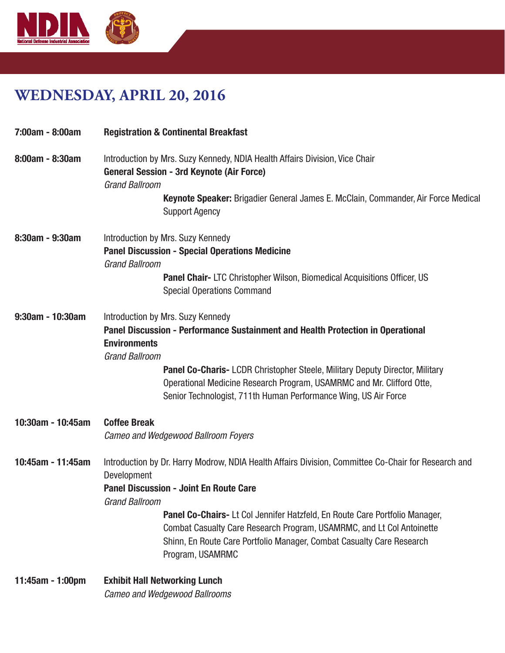

## **WEDNESDAY, APRIL 20, 2016**

| 7:00am - 8:00am       | <b>Registration &amp; Continental Breakfast</b>                                                                                                                                                                                                                                                                                                                                                                                                         |
|-----------------------|---------------------------------------------------------------------------------------------------------------------------------------------------------------------------------------------------------------------------------------------------------------------------------------------------------------------------------------------------------------------------------------------------------------------------------------------------------|
| 8:00am - 8:30am       | Introduction by Mrs. Suzy Kennedy, NDIA Health Affairs Division, Vice Chair<br><b>General Session - 3rd Keynote (Air Force)</b><br><b>Grand Ballroom</b><br>Keynote Speaker: Brigadier General James E. McClain, Commander, Air Force Medical<br><b>Support Agency</b>                                                                                                                                                                                  |
| $8:30$ am - $9:30$ am | Introduction by Mrs. Suzy Kennedy<br><b>Panel Discussion - Special Operations Medicine</b><br><b>Grand Ballroom</b><br><b>Panel Chair-LTC Christopher Wilson, Biomedical Acquisitions Officer, US</b><br><b>Special Operations Command</b>                                                                                                                                                                                                              |
| $9:30$ am - 10:30am   | Introduction by Mrs. Suzy Kennedy<br>Panel Discussion - Performance Sustainment and Health Protection in Operational<br><b>Environments</b><br><b>Grand Ballroom</b><br><b>Panel Co-Charis-LCDR Christopher Steele, Military Deputy Director, Military</b><br>Operational Medicine Research Program, USAMRMC and Mr. Clifford Otte,<br>Senior Technologist, 711th Human Performance Wing, US Air Force                                                  |
| 10:30am - 10:45am     | <b>Coffee Break</b><br>Cameo and Wedgewood Ballroom Foyers                                                                                                                                                                                                                                                                                                                                                                                              |
| 10:45am - 11:45am     | Introduction by Dr. Harry Modrow, NDIA Health Affairs Division, Committee Co-Chair for Research and<br>Development<br><b>Panel Discussion - Joint En Route Care</b><br><b>Grand Ballroom</b><br><b>Panel Co-Chairs-Lt Col Jennifer Hatzfeld, En Route Care Portfolio Manager,</b><br>Combat Casualty Care Research Program, USAMRMC, and Lt Col Antoinette<br>Shinn, En Route Care Portfolio Manager, Combat Casualty Care Research<br>Program, USAMRMC |
| 11:45am - 1:00pm      | <b>Exhibit Hall Networking Lunch</b>                                                                                                                                                                                                                                                                                                                                                                                                                    |

*Cameo and Wedgewood Ballrooms*